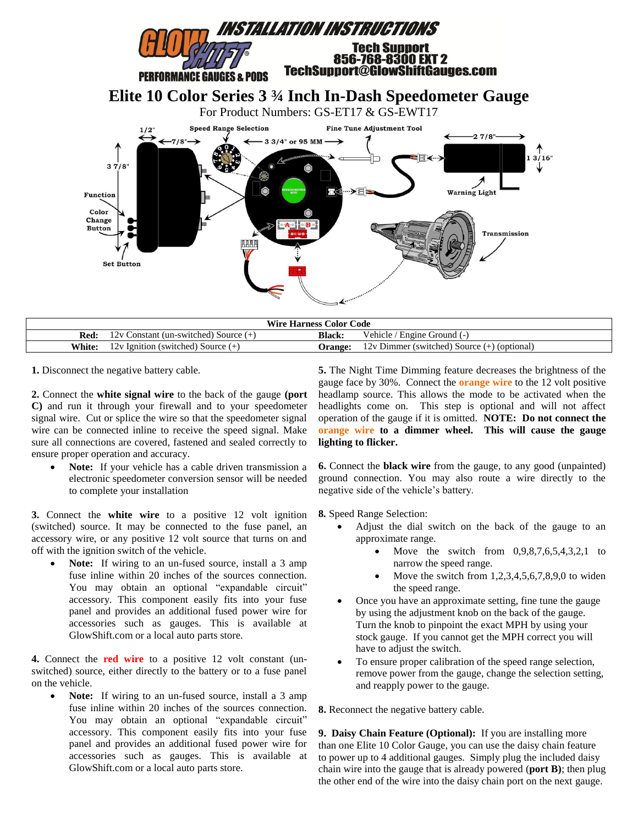

| <b>Wire Harness Color Code</b> |                                                            |                |                                                                            |
|--------------------------------|------------------------------------------------------------|----------------|----------------------------------------------------------------------------|
| Red.                           | 7.7<br>Constant (un-switched) Source (+                    | Black.         | / ehicle /<br>' Engine Ground (-)                                          |
| <b>White:</b>                  | $\pm$ Ignition (switched) Source ( $\pm$ )<br>$\mathbf{r}$ | <b>Jrange:</b> | (optional)<br>Dimmer<br>$(switted) Source (+$<br>$^{\prime}$ . $^{\prime}$ |

**1.** Disconnect the negative battery cable.

**2.** Connect the **white signal wire** to the back of the gauge **(port C)** and run it through your firewall and to your speedometer signal wire. Cut or splice the wire so that the speedometer signal wire can be connected inline to receive the speed signal. Make sure all connections are covered, fastened and sealed correctly to ensure proper operation and accuracy.

 **Note:** If your vehicle has a cable driven transmission a electronic speedometer conversion sensor will be needed to complete your installation

**3.** Connect the **white wire** to a positive 12 volt ignition (switched) source. It may be connected to the fuse panel, an accessory wire, or any positive 12 volt source that turns on and off with the ignition switch of the vehicle.

Note: If wiring to an un-fused source, install a 3 amp fuse inline within 20 inches of the sources connection. You may obtain an optional "expandable circuit" accessory. This component easily fits into your fuse panel and provides an additional fused power wire for accessories such as gauges. This is available at GlowShift.com or a local auto parts store.

**4.** Connect the **red wire** to a positive 12 volt constant (unswitched) source, either directly to the battery or to a fuse panel on the vehicle.

Note: If wiring to an un-fused source, install a 3 amp fuse inline within 20 inches of the sources connection. You may obtain an optional "expandable circuit" accessory. This component easily fits into your fuse panel and provides an additional fused power wire for accessories such as gauges. This is available at GlowShift.com or a local auto parts store.

**5.** The Night Time Dimming feature decreases the brightness of the gauge face by 30%. Connect the **orange wire** to the 12 volt positive headlamp source. This allows the mode to be activated when the headlights come on. This step is optional and will not affect operation of the gauge if it is omitted. **NOTE: Do not connect the orange wire to a dimmer wheel. This will cause the gauge lighting to flicker.**

**6.** Connect the **black wire** from the gauge, to any good (unpainted) ground connection. You may also route a wire directly to the negative side of the vehicle's battery.

**8***.* Speed Range Selection:

- Adjust the dial switch on the back of the gauge to an approximate range.
	- Move the switch from  $0,9,8,7,6,5,4,3,2,1$  to narrow the speed range.
	- Move the switch from 1,2,3,4,5,6,7,8,9,0 to widen the speed range.
- Once you have an approximate setting, fine tune the gauge by using the adjustment knob on the back of the gauge. Turn the knob to pinpoint the exact MPH by using your stock gauge. If you cannot get the MPH correct you will have to adjust the switch.
- To ensure proper calibration of the speed range selection, remove power from the gauge, change the selection setting, and reapply power to the gauge.

**8.** Reconnect the negative battery cable.

**9. Daisy Chain Feature (Optional):** If you are installing more than one Elite 10 Color Gauge, you can use the daisy chain feature to power up to 4 additional gauges. Simply plug the included daisy chain wire into the gauge that is already powered (**port B)**; then plug the other end of the wire into the daisy chain port on the next gauge.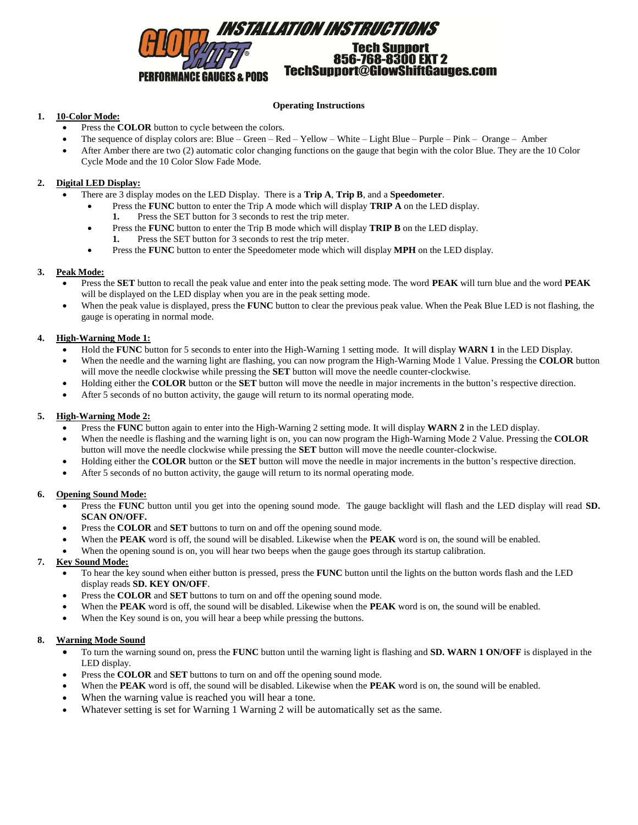

### **Operating Instructions**

## **1. 10-Color Mode:**

- Press the **COLOR** button to cycle between the colors.
- The sequence of display colors are: Blue Green Red Yellow White Light Blue Purple Pink Orange Amber
- After Amber there are two (2) automatic color changing functions on the gauge that begin with the color Blue. They are the 10 Color Cycle Mode and the 10 Color Slow Fade Mode.

## **2. Digital LED Display:**

- There are 3 display modes on the LED Display. There is a **Trip A**, **Trip B**, and a **Speedometer**.
	- Press the **FUNC** button to enter the Trip A mode which will display **TRIP A** on the LED display.
		- **1.** Press the SET button for 3 seconds to rest the trip meter.
	- Press the **FUNC** button to enter the Trip B mode which will display **TRIP B** on the LED display. **1.** Press the SET button for 3 seconds to rest the trip meter.
	- Press the **FUNC** button to enter the Speedometer mode which will display **MPH** on the LED display.

## **3. Peak Mode:**

- Press the **SET** button to recall the peak value and enter into the peak setting mode. The word **PEAK** will turn blue and the word **PEAK** will be displayed on the LED display when you are in the peak setting mode.
- When the peak value is displayed, press the **FUNC** button to clear the previous peak value. When the Peak Blue LED is not flashing, the gauge is operating in normal mode.

## **4. High-Warning Mode 1:**

- Hold the **FUNC** button for 5 seconds to enter into the High-Warning 1 setting mode. It will display **WARN 1** in the LED Display.
- When the needle and the warning light are flashing, you can now program the High-Warning Mode 1 Value. Pressing the **COLOR** button will move the needle clockwise while pressing the **SET** button will move the needle counter-clockwise.
- Holding either the **COLOR** button or the **SET** button will move the needle in major increments in the button's respective direction.
- After 5 seconds of no button activity, the gauge will return to its normal operating mode.

## **5. High-Warning Mode 2:**

- Press the **FUNC** button again to enter into the High-Warning 2 setting mode. It will display **WARN 2** in the LED display.
- When the needle is flashing and the warning light is on, you can now program the High-Warning Mode 2 Value. Pressing the **COLOR** button will move the needle clockwise while pressing the **SET** button will move the needle counter-clockwise.
- Holding either the **COLOR** button or the **SET** button will move the needle in major increments in the button's respective direction.
- After 5 seconds of no button activity, the gauge will return to its normal operating mode.

# **6. Opening Sound Mode:**

- Press the **FUNC** button until you get into the opening sound mode. The gauge backlight will flash and the LED display will read **SD. SCAN ON/OFF.**
- Press the **COLOR** and **SET** buttons to turn on and off the opening sound mode.
- When the **PEAK** word is off, the sound will be disabled. Likewise when the **PEAK** word is on, the sound will be enabled.
- When the opening sound is on, you will hear two beeps when the gauge goes through its startup calibration.

# **7. Key Sound Mode:**

- To hear the key sound when either button is pressed, press the **FUNC** button until the lights on the button words flash and the LED display reads **SD. KEY ON/OFF**.
- Press the **COLOR** and **SET** buttons to turn on and off the opening sound mode.
- When the **PEAK** word is off, the sound will be disabled. Likewise when the **PEAK** word is on, the sound will be enabled.
- When the Key sound is on, you will hear a beep while pressing the buttons.

# **8. Warning Mode Sound**

- To turn the warning sound on, press the **FUNC** button until the warning light is flashing and **SD. WARN 1 ON/OFF** is displayed in the LED display.
- Press the **COLOR** and **SET** buttons to turn on and off the opening sound mode.
- When the **PEAK** word is off, the sound will be disabled. Likewise when the **PEAK** word is on, the sound will be enabled.
- When the warning value is reached you will hear a tone.
- Whatever setting is set for Warning 1 Warning 2 will be automatically set as the same.